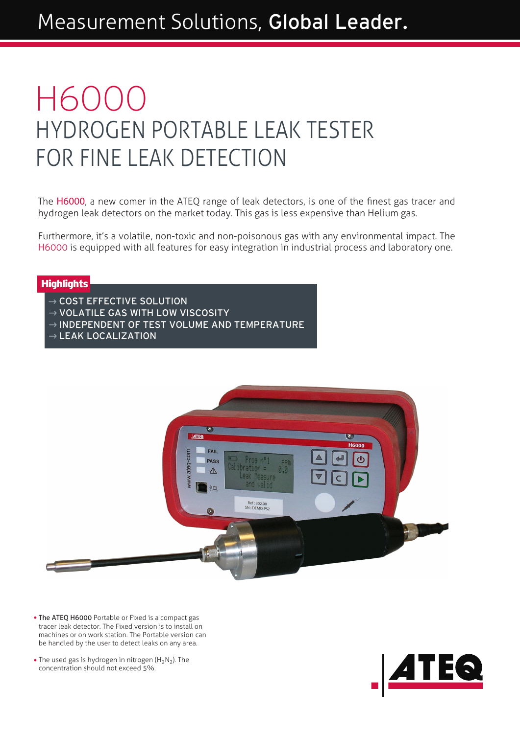# HYDROGEN PORTABLE LEAK TESTER FOR FINE LEAK DETECTION H6000

The H6000, a new comer in the ATEQ range of leak detectors, is one of the finest gas tracer and hydrogen leak detectors on the market today. This gas is less expensive than Helium gas.

Furthermore, it's a volatile, non-toxic and non-poisonous gas with any environmental impact. The H6000 is equipped with all features for easy integration in industrial process and laboratory one.

#### **Highlights**

- $\rightarrow$  COST EFFECTIVE SOLUTION
- $\rightarrow$  VOLATILE GAS WITH LOW VISCOSITY
- $\rightarrow$  INDEPENDENT OF TEST VOLUME AND TEMPERATURE
- $\rightarrow$  LEAK LOCALIZATION



- The ATEQ H6000 Portable or Fixed is a compact gas tracer leak detector. The Fixed version is to install on machines or on work station. The Portable version can be handled by the user to detect leaks on any area.
- The used gas is hydrogen in nitrogen  $(H_2N_2)$ . The concentration should not exceed 5%.